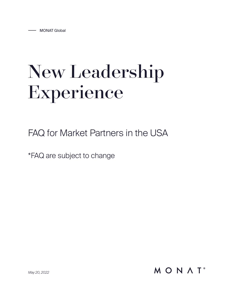# New Leadership Experience

FAQ for Market Partners in the USA

\*FAQ are subject to change

MONAT<sup>®</sup>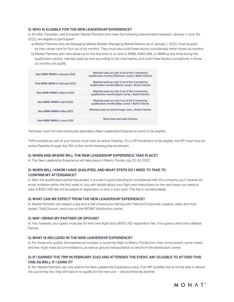## Q: WHO IS ELIGIBLE FOR THE NEW LEADERSHIP EXPERIENCE?

A: All USA, Canadian, and European Market Partners who meet the following requirements between January 1–June 30, 2022, are eligible to participate\*:

- a) Market Partners who are Managing Market Builder–Managing Market Mentor as of January 1, 2022, must be paid as their career rank for four out of six months. They must also build three blocks cumulatively within those six months.
- b) Market Partners who rank advance for the first time or re-rank to MMB, AMM, MM, or MMM at any time during the qualification period, maintain paid-as rank according to the chart below, and build three blocks cumulatively in those six months will qualify.

| New MMB-MMM in January 2022  | Maintain paid-as rank 3 out of the 5 remaining<br>qualification months (February-June) + Build 3 blocks |
|------------------------------|---------------------------------------------------------------------------------------------------------|
| New MMB-MMM in February 2022 | Maintain paid-as rank 3 out of the 4 remaining<br>qualification months (March-June) + Build 3 blocks    |
| New MMB-MMM in March 2022    | Maintain paid-as rank 2 out of the 3 remaining<br>qualification months (April-June) + Build 3 blocks    |
| New MMB-MMM in April 2022    | Maintain paid-as rank 1 out of the 2 remaining<br>qualification months (May-June) + Build 3 blocks      |
| New MMB-MMM in May 2022      | Maintain paid-as rank through June + Build 3 blocks                                                     |
| New MMB-MMM in June 2022     | Must have also built 3 blocks                                                                           |

\*Achiever must not have previously attended a New Leadership Experience event to be eligible.

\*VIPs enrolled as part of your blocks must have an active Flexship. For a VIP enrollment to be eligible, the VIP must have an active Flexship through the 15th of the month following the enrollment.

## Q: WHEN AND WHERE WILL THE NEW LEADERSHIP EXPERIENCE TAKE PLACE?

A: The New Leadership Experience will take place in Miami, Florida July 22–24, 2022.

## Q: WHEN WILL I KNOW I HAVE QUALIFIED, AND WHAT STEPS DO I NEED TO TAKE TO CONFIRM MY ATTENDANCE?

A: After the qualification period has ended, if you are in good standing (in compliance) with the company, you'll receive an email invitation within the first week of July with details about your flight and instructions on the next steps you need to take. A \$150 USD fee will be added at registration to lock in your spot. This fee is nonrefundable.

#### Q: WHAT CAN WE EXPECT FROM THE NEW LEADERSHIP EXPERIENCE?

A: Market Partners can expect a day and a half of exclusive training with Field and Corporate Leaders, sales and trust expert, Todd Duncan, and a tour of the MONAT distribution center.

#### Q: MAY I BRING MY PARTNER OR SPOUSE?

A: Yes; however, your guest must pay for their own flight and a \$150 USD registration fee. Your guest cannot be a Market Partner.

#### Q: WHAT IS INCLUDED IN THE NEW LEADERSHIP EXPERIENCE?

A: For those who qualify, the experience includes a round-trip flight to Miami, Florida from their home airport, some meals, and two-night hotel accommodations, as well as ground transportation to and from the distribution center.

# Q: IF I EARNED THE TRIP IN FEBRUARY 2022 AND ATTENDED THE EVENT, AM I ELIGIBLE TO ATTEND THIS ONE AS WELL IF I EARN IT?

A: No. Market Partners can only attend the New Leadership Experience once. If an MP qualifies but is not be able to attend the upcoming trip, they will have to re-qualify for the next one — should there be another.